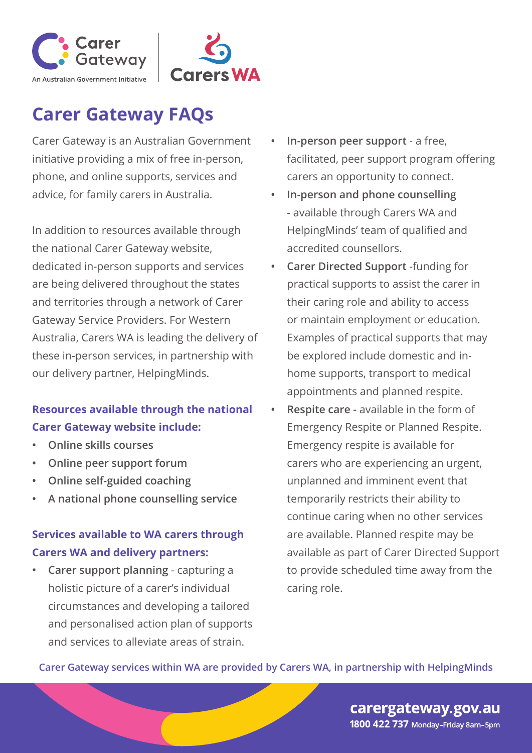



Carer Gateway is an Australian Government initiative providing a mix of free in-person, phone, and online supports, services and advice, for family carers in Australia.

In addition to resources available through the national Carer Gateway website, dedicated in-person supports and services are being delivered throughout the states and territories through a network of Carer Gateway Service Providers. For Western Australia, Carers WA is leading the delivery of these in-person services, in partnership with our delivery partner, HelpingMinds.

#### **Resources available through the national Carer Gateway website include:**

- **• Online skills courses**
- **• Online peer support forum**
- **• Online self-guided coaching**
- **• A national phone counselling service**

#### **Services available to WA carers through Carers WA and delivery partners:**

**• Carer support planning** - capturing a holistic picture of a carer's individual circumstances and developing a tailored and personalised action plan of supports and services to alleviate areas of strain.

- **• In-person peer support**  a free, facilitated, peer support program offering carers an opportunity to connect.
- **• In-person and phone counselling** - available through Carers WA and HelpingMinds' team of qualified and accredited counsellors.
- **• Carer Directed Support** -funding for practical supports to assist the carer in their caring role and ability to access or maintain employment or education. Examples of practical supports that may be explored include domestic and inhome supports, transport to medical appointments and planned respite.
- **• Respite care** available in the form of Emergency Respite or Planned Respite. Emergency respite is available for carers who are experiencing an urgent, unplanned and imminent event that temporarily restricts their ability to continue caring when no other services are available. Planned respite may be available as part of Carer Directed Support to provide scheduled time away from the caring role.

**Carer Gateway services within WA are provided by Carers WA, in partnership with HelpingMinds**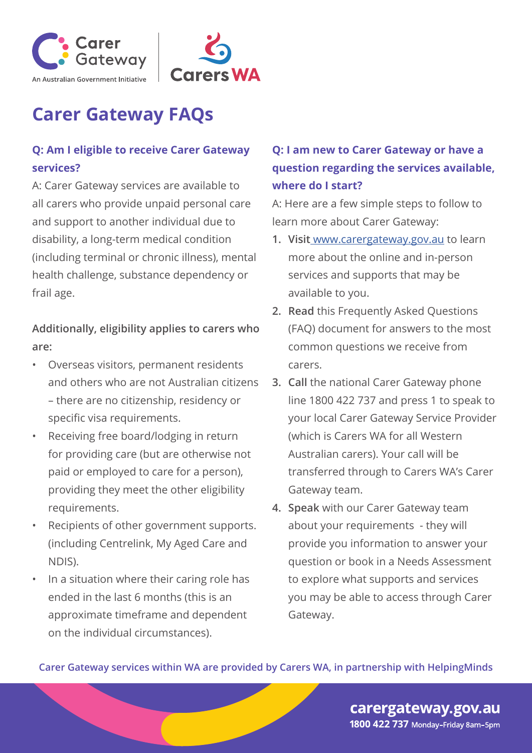



#### **Q: Am I eligible to receive Carer Gateway services?**

A: Carer Gateway services are available to all carers who provide unpaid personal care and support to another individual due to disability, a long-term medical condition (including terminal or chronic illness), mental health challenge, substance dependency or frail age.

**Additionally, eligibility applies to carers who are:**

- Overseas visitors, permanent residents and others who are not Australian citizens – there are no citizenship, residency or specific visa requirements.
- Receiving free board/lodging in return for providing care (but are otherwise not paid or employed to care for a person), providing they meet the other eligibility requirements.
- Recipients of other government supports. (including Centrelink, My Aged Care and NDIS).
- In a situation where their caring role has ended in the last 6 months (this is an approximate timeframe and dependent on the individual circumstances).

#### **Q: I am new to Carer Gateway or have a question regarding the services available, where do I start?**

A: Here are a few simple steps to follow to learn more about Carer Gateway:

- **1. Visit** www.carergateway.gov.au to learn more about the online and in-person services and supports that may be available to you.
- **2. Read** this Frequently Asked Questions (FAQ) document for answers to the most common questions we receive from carers.
- **3. Call** the national Carer Gateway phone line 1800 422 737 and press 1 to speak to your local Carer Gateway Service Provider (which is Carers WA for all Western Australian carers). Your call will be transferred through to Carers WA's Carer Gateway team.
- **4. Speak** with our Carer Gateway team about your requirements - they will provide you information to answer your question or book in a Needs Assessment to explore what supports and services you may be able to access through Carer Gateway.

**Carer Gateway services within WA are provided by Carers WA, in partnership with HelpingMinds**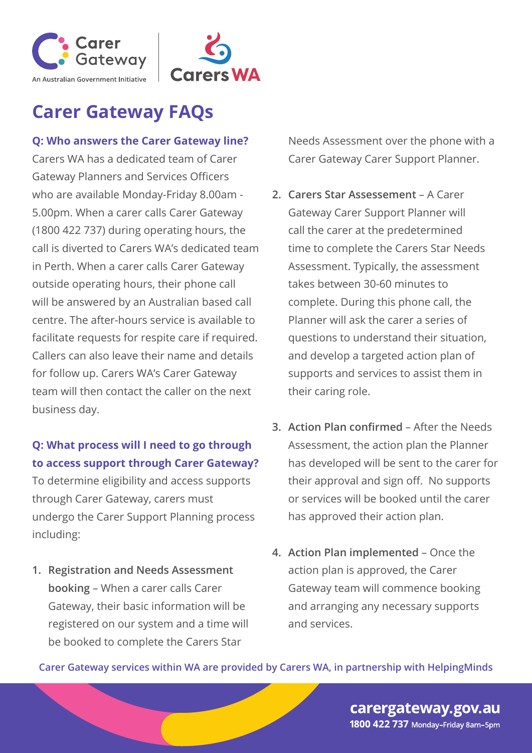



#### **Q: Who answers the Carer Gateway line?**

Carers WA has a dedicated team of Carer Gateway Planners and Services Officers who are available Monday-Friday 8.00am - 5.00pm. When a carer calls Carer Gateway (1800 422 737) during operating hours, the call is diverted to Carers WA's dedicated team in Perth. When a carer calls Carer Gateway outside operating hours, their phone call will be answered by an Australian based call centre. The after-hours service is available to facilitate requests for respite care if required. Callers can also leave their name and details for follow up. Carers WA's Carer Gateway team will then contact the caller on the next business day.

#### **Q: What process will I need to go through to access support through Carer Gateway?**

To determine eligibility and access supports through Carer Gateway, carers must undergo the Carer Support Planning process including:

**1. Registration and Needs Assessment booking** – When a carer calls Carer Gateway, their basic information will be registered on our system and a time will be booked to complete the Carers Star

Needs Assessment over the phone with a Carer Gateway Carer Support Planner.

- **2. Carers Star Assessement**  A Carer Gateway Carer Support Planner will call the carer at the predetermined time to complete the Carers Star Needs Assessment. Typically, the assessment takes between 30-60 minutes to complete. During this phone call, the Planner will ask the carer a series of questions to understand their situation, and develop a targeted action plan of supports and services to assist them in their caring role.
- **3. Action Plan confirmed**  After the Needs Assessment, the action plan the Planner has developed will be sent to the carer for their approval and sign off. No supports or services will be booked until the carer has approved their action plan.
- **4. Action Plan implemented**  Once the action plan is approved, the Carer Gateway team will commence booking and arranging any necessary supports and services.

**Carer Gateway services within WA are provided by Carers WA, in partnership with HelpingMinds**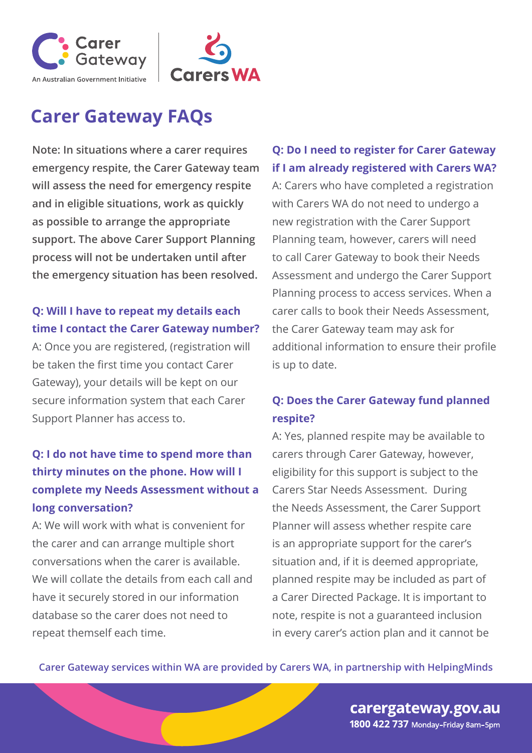



**Note: In situations where a carer requires emergency respite, the Carer Gateway team will assess the need for emergency respite and in eligible situations, work as quickly as possible to arrange the appropriate support. The above Carer Support Planning process will not be undertaken until after the emergency situation has been resolved.** 

#### **Q: Will I have to repeat my details each time I contact the Carer Gateway number?**

A: Once you are registered, (registration will be taken the first time you contact Carer Gateway), your details will be kept on our secure information system that each Carer Support Planner has access to.

### **Q: I do not have time to spend more than thirty minutes on the phone. How will I complete my Needs Assessment without a long conversation?**

A: We will work with what is convenient for the carer and can arrange multiple short conversations when the carer is available. We will collate the details from each call and have it securely stored in our information database so the carer does not need to repeat themself each time.

#### **Q: Do I need to register for Carer Gateway if I am already registered with Carers WA?**

A: Carers who have completed a registration with Carers WA do not need to undergo a new registration with the Carer Support Planning team, however, carers will need to call Carer Gateway to book their Needs Assessment and undergo the Carer Support Planning process to access services. When a carer calls to book their Needs Assessment, the Carer Gateway team may ask for additional information to ensure their profile is up to date.

#### **Q: Does the Carer Gateway fund planned respite?**

A: Yes, planned respite may be available to carers through Carer Gateway, however, eligibility for this support is subject to the Carers Star Needs Assessment. During the Needs Assessment, the Carer Support Planner will assess whether respite care is an appropriate support for the carer's situation and, if it is deemed appropriate, planned respite may be included as part of a Carer Directed Package. It is important to note, respite is not a guaranteed inclusion in every carer's action plan and it cannot be

**Carer Gateway services within WA are provided by Carers WA, in partnership with HelpingMinds**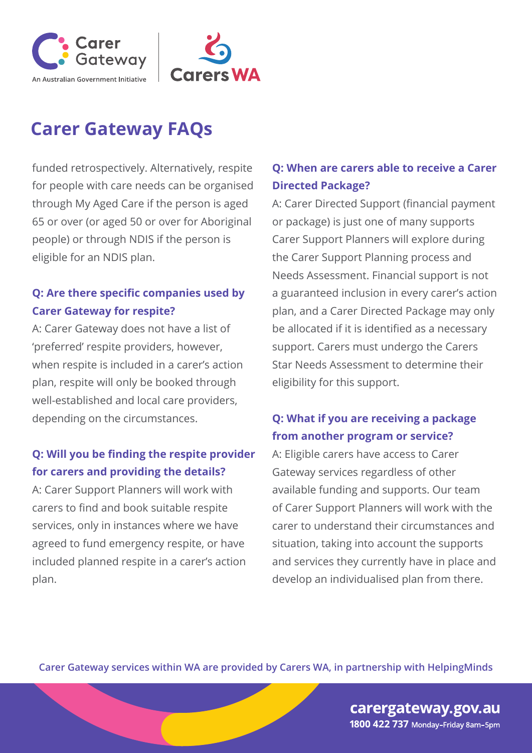



funded retrospectively. Alternatively, respite for people with care needs can be organised through My Aged Care if the person is aged 65 or over (or aged 50 or over for Aboriginal people) or through NDIS if the person is eligible for an NDIS plan.

#### **Q: Are there specific companies used by Carer Gateway for respite?**

A: Carer Gateway does not have a list of 'preferred' respite providers, however, when respite is included in a carer's action plan, respite will only be booked through well-established and local care providers, depending on the circumstances.

#### **Q: Will you be finding the respite provider for carers and providing the details?**

A: Carer Support Planners will work with carers to find and book suitable respite services, only in instances where we have agreed to fund emergency respite, or have included planned respite in a carer's action plan.

#### **Q: When are carers able to receive a Carer Directed Package?**

A: Carer Directed Support (financial payment or package) is just one of many supports Carer Support Planners will explore during the Carer Support Planning process and Needs Assessment. Financial support is not a guaranteed inclusion in every carer's action plan, and a Carer Directed Package may only be allocated if it is identified as a necessary support. Carers must undergo the Carers Star Needs Assessment to determine their eligibility for this support.

#### **Q: What if you are receiving a package from another program or service?**

A: Eligible carers have access to Carer Gateway services regardless of other available funding and supports. Our team of Carer Support Planners will work with the carer to understand their circumstances and situation, taking into account the supports and services they currently have in place and develop an individualised plan from there.

**Carer Gateway services within WA are provided by Carers WA, in partnership with HelpingMinds**